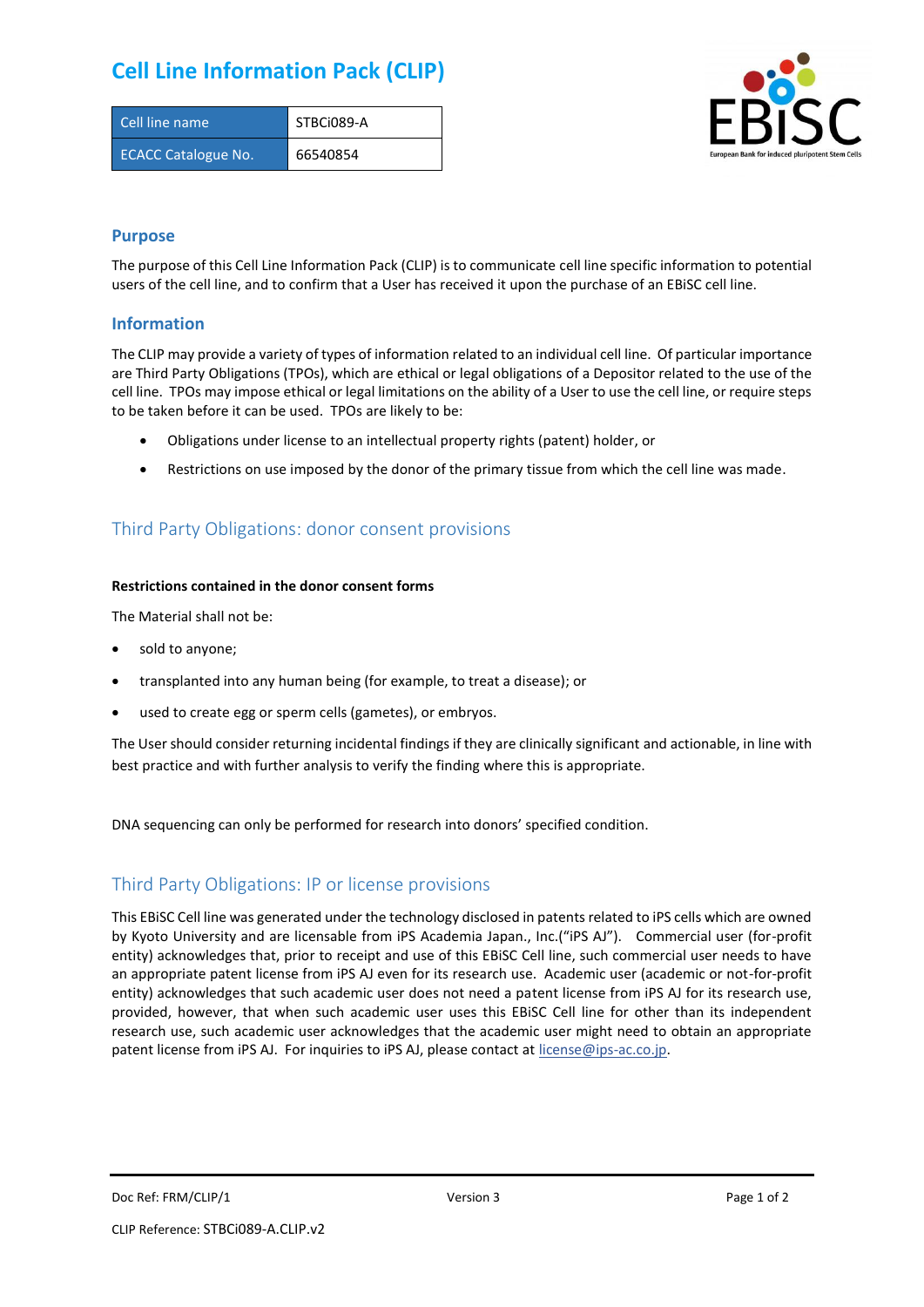## **Cell Line Information Pack (CLIP)**

| Cell line name             | STBCi089-A |
|----------------------------|------------|
| <b>ECACC Catalogue No.</b> | 66540854   |



### **Purpose**

The purpose of this Cell Line Information Pack (CLIP) is to communicate cell line specific information to potential users of the cell line, and to confirm that a User has received it upon the purchase of an EBiSC cell line.

### **Information**

The CLIP may provide a variety of types of information related to an individual cell line. Of particular importance are Third Party Obligations (TPOs), which are ethical or legal obligations of a Depositor related to the use of the cell line. TPOs may impose ethical or legal limitations on the ability of a User to use the cell line, or require steps to be taken before it can be used. TPOs are likely to be:

- Obligations under license to an intellectual property rights (patent) holder, or
- Restrictions on use imposed by the donor of the primary tissue from which the cell line was made.

## Third Party Obligations: donor consent provisions

#### **Restrictions contained in the donor consent forms**

The Material shall not be:

- sold to anyone;
- transplanted into any human being (for example, to treat a disease); or
- used to create egg or sperm cells (gametes), or embryos.

The User should consider returning incidental findings if they are clinically significant and actionable, in line with best practice and with further analysis to verify the finding where this is appropriate.

DNA sequencing can only be performed for research into donors' specified condition.

### Third Party Obligations: IP or license provisions

This EBiSC Cell line was generated under the technology disclosed in patents related to iPS cells which are owned by Kyoto University and are licensable from iPS Academia Japan., Inc.("iPS AJ"). Commercial user (for-profit entity) acknowledges that, prior to receipt and use of this EBiSC Cell line, such commercial user needs to have an appropriate patent license from iPS AJ even for its research use. Academic user (academic or not-for-profit entity) acknowledges that such academic user does not need a patent license from iPS AJ for its research use, provided, however, that when such academic user uses this EBiSC Cell line for other than its independent research use, such academic user acknowledges that the academic user might need to obtain an appropriate patent license from iPS AJ. For inquiries to iPS AJ, please contact at [license@ips-ac.co.jp.](mailto:license@ips-ac.co.jp)

Doc Ref: FRM/CLIP/1 **Doces 2** Page 1 of 2 Page 1 of 2